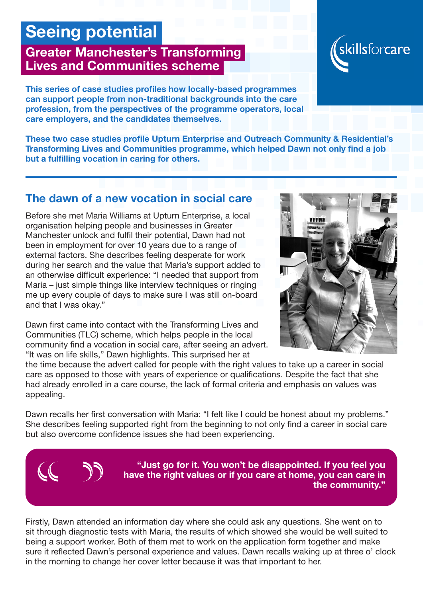## Seeing potential

## Greater Manchester's Transforming Lives and Communities scheme

This series of case studies profiles how locally-based programmes can support people from non-traditional backgrounds into the care profession, from the perspectives of the programme operators, local care employers, and the candidates themselves.

These two case studies profile Upturn Enterprise and Outreach Community & Residential's Transforming Lives and Communities programme, which helped Dawn not only find a job but a fulfilling vocation in caring for others.

## The dawn of a new vocation in social care

Before she met Maria Williams at Upturn Enterprise, a local organisation helping people and businesses in Greater Manchester unlock and fulfil their potential, Dawn had not been in employment for over 10 years due to a range of external factors. She describes feeling desperate for work during her search and the value that Maria's support added to an otherwise difficult experience: "I needed that support from Maria – just simple things like interview techniques or ringing me up every couple of days to make sure I was still on-board and that I was okay."

Dawn first came into contact with the Transforming Lives and Communities (TLC) scheme, which helps people in the local community find a vocation in social care, after seeing an advert. "It was on life skills," Dawn highlights. This surprised her at

the time because the advert called for people with the right values to take up a career in social care as opposed to those with years of experience or qualifications. Despite the fact that she had already enrolled in a care course, the lack of formal criteria and emphasis on values was appealing.

Dawn recalls her first conversation with Maria: "I felt like I could be honest about my problems." She describes feeling supported right from the beginning to not only find a career in social care but also overcome confidence issues she had been experiencing.

> "Just go for it. You won't be disappointed. If you feel you have the right values or if you care at home, you can care in the community."

Firstly, Dawn attended an information day where she could ask any questions. She went on to sit through diagnostic tests with Maria, the results of which showed she would be well suited to being a support worker. Both of them met to work on the application form together and make sure it reflected Dawn's personal experience and values. Dawn recalls waking up at three o' clock in the morning to change her cover letter because it was that important to her.